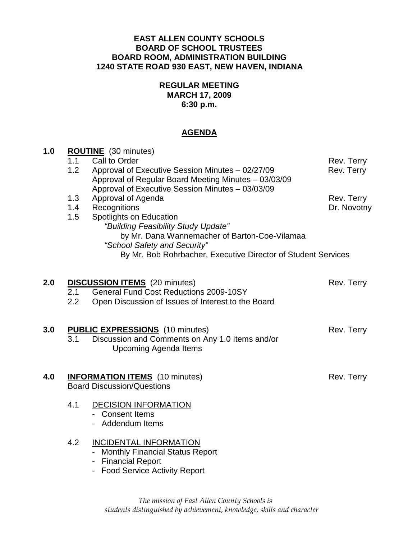#### **EAST ALLEN COUNTY SCHOOLS BOARD OF SCHOOL TRUSTEES BOARD ROOM, ADMINISTRATION BUILDING 1240 STATE ROAD 930 EAST, NEW HAVEN, INDIANA**

## **REGULAR MEETING MARCH 17, 2009 6:30 p.m.**

### **AGENDA**

| 1.0 | <b>ROUTINE</b> (30 minutes) |                                                                                                          |             |
|-----|-----------------------------|----------------------------------------------------------------------------------------------------------|-------------|
|     | 1.1                         | Call to Order                                                                                            | Rev. Terry  |
|     | 1.2                         | Approval of Executive Session Minutes - 02/27/09<br>Approval of Regular Board Meeting Minutes - 03/03/09 | Rev. Terry  |
|     |                             | Approval of Executive Session Minutes - 03/03/09                                                         |             |
|     | 1.3                         | Approval of Agenda                                                                                       | Rev. Terry  |
|     | 1.4                         | Recognitions                                                                                             | Dr. Novotny |
|     | 1.5                         | Spotlights on Education                                                                                  |             |
|     |                             | "Building Feasibility Study Update"                                                                      |             |
|     |                             | by Mr. Dana Wannemacher of Barton-Coe-Vilamaa<br>"School Safety and Security"                            |             |
|     |                             | By Mr. Bob Rohrbacher, Executive Director of Student Services                                            |             |
|     |                             |                                                                                                          |             |
| 2.0 |                             | <b>DISCUSSION ITEMS</b> (20 minutes)                                                                     | Rev. Terry  |
|     | 2.1                         | <b>General Fund Cost Reductions 2009-10SY</b>                                                            |             |
|     | 2.2                         | Open Discussion of Issues of Interest to the Board                                                       |             |
|     |                             |                                                                                                          |             |
| 3.0 |                             | <b>PUBLIC EXPRESSIONS</b> (10 minutes)                                                                   | Rev. Terry  |
|     | 3.1                         | Discussion and Comments on Any 1.0 Items and/or                                                          |             |
|     |                             | <b>Upcoming Agenda Items</b>                                                                             |             |
|     |                             |                                                                                                          |             |
| 4.0 |                             | <b>INFORMATION ITEMS</b> (10 minutes)                                                                    | Rev. Terry  |
|     |                             | <b>Board Discussion/Questions</b>                                                                        |             |
|     |                             |                                                                                                          |             |
|     | 4.1                         | <b>DECISION INFORMATION</b><br>- Consent Items                                                           |             |
|     |                             | - Addendum Items                                                                                         |             |
|     |                             |                                                                                                          |             |
|     | 4.2                         | <b>INCIDENTAL INFORMATION</b>                                                                            |             |
|     |                             | - Monthly Financial Status Report                                                                        |             |
|     |                             | - Financial Report<br>$\mathbf{A}$ and $\mathbf{A}$ and $\mathbf{B}$ and $\mathbf{A}$                    |             |

- Food Service Activity Report